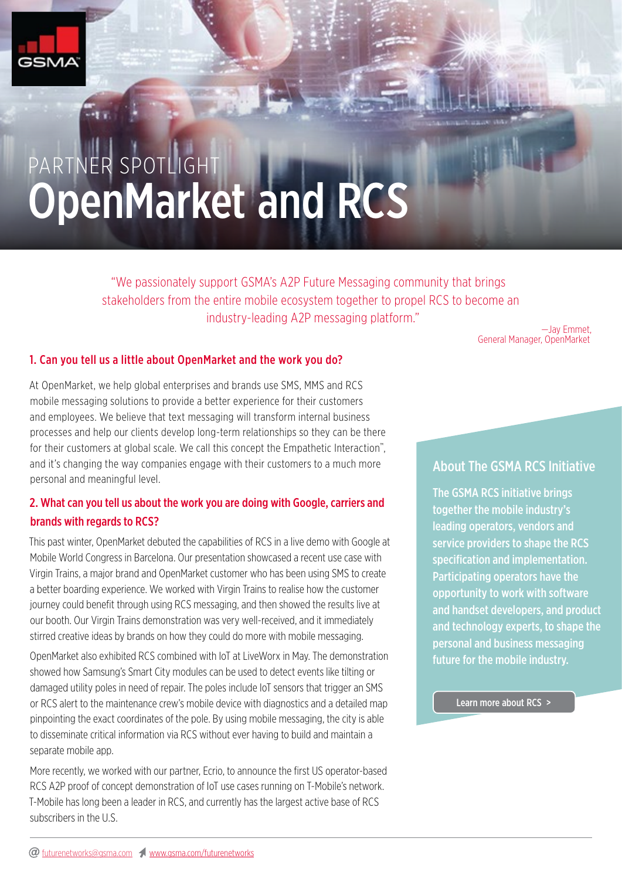

# PARTNER SPOTLIGHT OpenMarket and RCS

"We passionately support GSMA's A2P Future Messaging community that brings stakeholders from the entire mobile ecosystem together to propel RCS to become an industry-leading A2P messaging platform."

—Jay Emmet, General Manager, OpenMarket

#### 1. Can you tell us a little about OpenMarket and the work you do?

At OpenMarket, we help global enterprises and brands use SMS, MMS and RCS mobile messaging solutions to provide a better experience for their customers and employees. We believe that text messaging will transform internal business processes and help our clients develop long-term relationships so they can be there for their customers at global scale. We call this concept the Empathetic Interaction™, and it's changing the way companies engage with their customers to a much more personal and meaningful level.

## 2. What can you tell us about the work you are doing with Google, carriers and brands with regards to RCS?

This past winter, OpenMarket debuted the capabilities of RCS in a live demo with Google at Mobile World Congress in Barcelona. Our presentation showcased a recent use case with Virgin Trains, a major brand and OpenMarket customer who has been using SMS to create a better boarding experience. We worked with Virgin Trains to realise how the customer journey could benefit through using RCS messaging, and then showed the results live at our booth. Our Virgin Trains demonstration was very well-received, and it immediately stirred creative ideas by brands on how they could do more with mobile messaging.

OpenMarket also exhibited RCS combined with IoT at LiveWorx in May. The demonstration showed how Samsung's Smart City modules can be used to detect events like tilting or damaged utility poles in need of repair. The poles include IoT sensors that trigger an SMS or RCS alert to the maintenance crew's mobile device with diagnostics and a detailed map pinpointing the exact coordinates of the pole. By using mobile messaging, the city is able to disseminate critical information via RCS without ever having to build and maintain a separate mobile app.

More recently, we worked with our partner, Ecrio, to announce the first US operator-based RCS A2P proof of concept demonstration of IoT use cases running on T-Mobile's network. T-Mobile has long been a leader in RCS, and currently has the largest active base of RCS subscribers in the U.S.

## About The GSMA RCS Initiative

The GSMA RCS initiative brings together the mobile industry's leading operators, vendors and service providers to shape the RCS specification and implementation. Participating operators have the opportunity to work with software and handset developers, and product and technology experts, to shape the personal and business messaging future for the mobile industry.

Learn more about RCS >